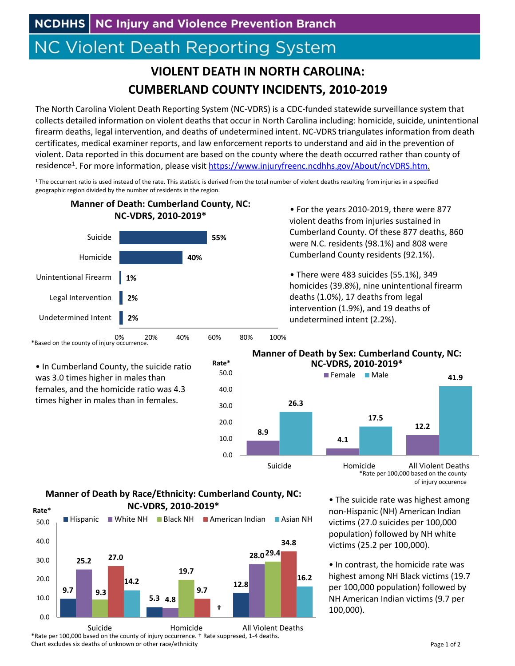# **NC Violent Death Reporting System**

## **VIOLENT DEATH IN NORTH CAROLINA: CUMBERLAND COUNTY INCIDENTS, 2010‐2019**

The North Carolina Violent Death Reporting System (NC‐VDRS) is a CDC‐funded statewide surveillance system that collects detailed information on violent deaths that occur in North Carolina including: homicide, suicide, unintentional firearm deaths, legal intervention, and deaths of undetermined intent. NC‐VDRS triangulates information from death certificates, medical examiner reports, and law enforcement reports to understand and aid in the prevention of violent. Data reported in this document are based on the county where the death occurred rather than county of residence<sup>1</sup>. For more information, please visit https://www.injuryfreenc.ncdhhs.gov/About/ncVDRS.htm.

 $1$ The occurrent ratio is used instead of the rate. This statistic is derived from the total number of violent deaths resulting from injuries in a specified geographic region divided by the number of residents in the region.

**Rate\***



• For the years 2010‐2019, there were 877 violent deaths from injuries sustained in Cumberland County. Of these 877 deaths, 860 were N.C. residents (98.1%) and 808 were Cumberland County residents (92.1%).

• There were 483 suicides (55.1%), 349 homicides (39.8%), nine unintentional firearm deaths (1.0%), 17 deaths from legal intervention (1.9%), and 19 deaths of undetermined intent (2.2%).

### \*Based on the county of injury occurrence.

• In Cumberland County, the suicide ratio was 3.0 times higher in males than females, and the homicide ratio was 4.3 times higher in males than in females.



#### **Manner of Death by Sex: Cumberland County, NC: NC‐VDRS, 2010‐2019\***



\*Rate per 100,000 based on the county of injury occurence

• The suicide rate was highest among non‐Hispanic (NH) American Indian victims (27.0 suicides per 100,000 population) followed by NH white victims (25.2 per 100,000).

• In contrast, the homicide rate was highest among NH Black victims (19.7 per 100,000 population) followed by NH American Indian victims (9.7 per 100,000).

#### **Manner of Death by Race/Ethnicity: Cumberland County, NC: NC‐VDRS, 2010‐2019\***



\*Rate per 100,000 based on the county of injury occurrence. † Rate suppresed, 1‐4 deaths. Chart excludes six deaths of unknown or other race/ethnicity